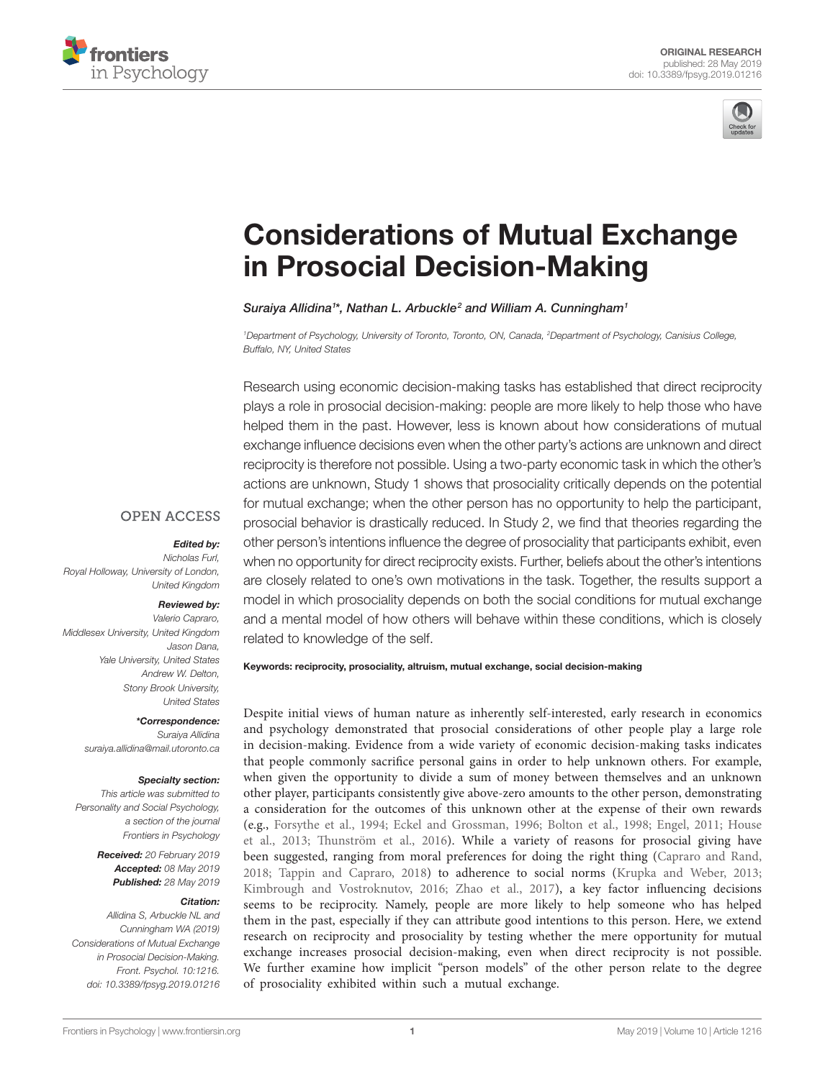



# [Considerations of Mutual Exchange](https://www.frontiersin.org/articles/10.3389/fpsyg.2019.01216/full)  [in Prosocial Decision-Making](https://www.frontiersin.org/articles/10.3389/fpsyg.2019.01216/full)

*[Suraiya Allidina1](https://loop.frontiersin.org/people/688470/overview) \*, [Nathan L. Arbuckle](https://loop.frontiersin.org/people/47861/overview)2 and [William A. Cunningham1](https://loop.frontiersin.org/people/2327/overview)*

*1 Department of Psychology, University of Toronto, Toronto, ON, Canada, 2 Department of Psychology, Canisius College, Buffalo, NY, United States*

Research using economic decision-making tasks has established that direct reciprocity plays a role in prosocial decision-making: people are more likely to help those who have helped them in the past. However, less is known about how considerations of mutual exchange influence decisions even when the other party's actions are unknown and direct reciprocity is therefore not possible. Using a two-party economic task in which the other's actions are unknown, Study 1 shows that prosociality critically depends on the potential for mutual exchange; when the other person has no opportunity to help the participant, prosocial behavior is drastically reduced. In Study 2, we find that theories regarding the other person's intentions influence the degree of prosociality that participants exhibit, even when no opportunity for direct reciprocity exists. Further, beliefs about the other's intentions are closely related to one's own motivations in the task. Together, the results support a model in which prosociality depends on both the social conditions for mutual exchange and a mental model of how others will behave within these conditions, which is closely related to knowledge of the self.

## **OPEN ACCESS**

#### *Edited by:*

*Nicholas Furl, Royal Holloway, University of London, United Kingdom*

#### *Reviewed by:*

*Valerio Capraro, Middlesex University, United Kingdom Jason Dana, Yale University, United States Andrew W. Delton, Stony Brook University, United States*

*\*Correspondence:* 

*Suraiya Allidina [suraiya.allidina@mail.utoronto.ca](mailto:suraiya.allidina@mail.utoronto.ca)*

#### *Specialty section:*

*This article was submitted to Personality and Social Psychology, a section of the journal Frontiers in Psychology*

> *Received: 20 February 2019 Accepted: 08 May 2019 Published: 28 May 2019*

#### *Citation:*

*Allidina S, Arbuckle NL and Cunningham WA (2019) Considerations of Mutual Exchange in Prosocial Decision-Making. Front. Psychol. 10:1216. [doi: 10.3389/fpsyg.2019.01216](https://doi.org/10.3389/fpsyg.2019.01216)* Keywords: reciprocity, prosociality, altruism, mutual exchange, social decision-making

Despite initial views of human nature as inherently self-interested, early research in economics and psychology demonstrated that prosocial considerations of other people play a large role in decision-making. Evidence from a wide variety of economic decision-making tasks indicates that people commonly sacrifice personal gains in order to help unknown others. For example, when given the opportunity to divide a sum of money between themselves and an unknown other player, participants consistently give above-zero amounts to the other person, demonstrating a consideration for the outcomes of this unknown other at the expense of their own rewards (e.g., [Forsythe et al., 1994](#page-8-0); [Eckel and Grossman, 1996](#page-8-1); [Bolton et al., 1998](#page-7-0); [Engel, 2011;](#page-8-2) [House](#page-8-3)  [et al., 2013;](#page-8-3) [Thunström et al., 2016\)](#page-8-4). While a variety of reasons for prosocial giving have been suggested, ranging from moral preferences for doing the right thing ([Capraro and Rand,](#page-7-1)  [2018;](#page-7-1) [Tappin and Capraro, 2018](#page-8-5)) to adherence to social norms [\(Krupka and Weber, 2013;](#page-8-6) [Kimbrough and Vostroknutov, 2016](#page-8-7); [Zhao et al., 2017\)](#page-8-8), a key factor influencing decisions seems to be reciprocity. Namely, people are more likely to help someone who has helped them in the past, especially if they can attribute good intentions to this person. Here, we extend research on reciprocity and prosociality by testing whether the mere opportunity for mutual exchange increases prosocial decision-making, even when direct reciprocity is not possible. We further examine how implicit "person models" of the other person relate to the degree of prosociality exhibited within such a mutual exchange.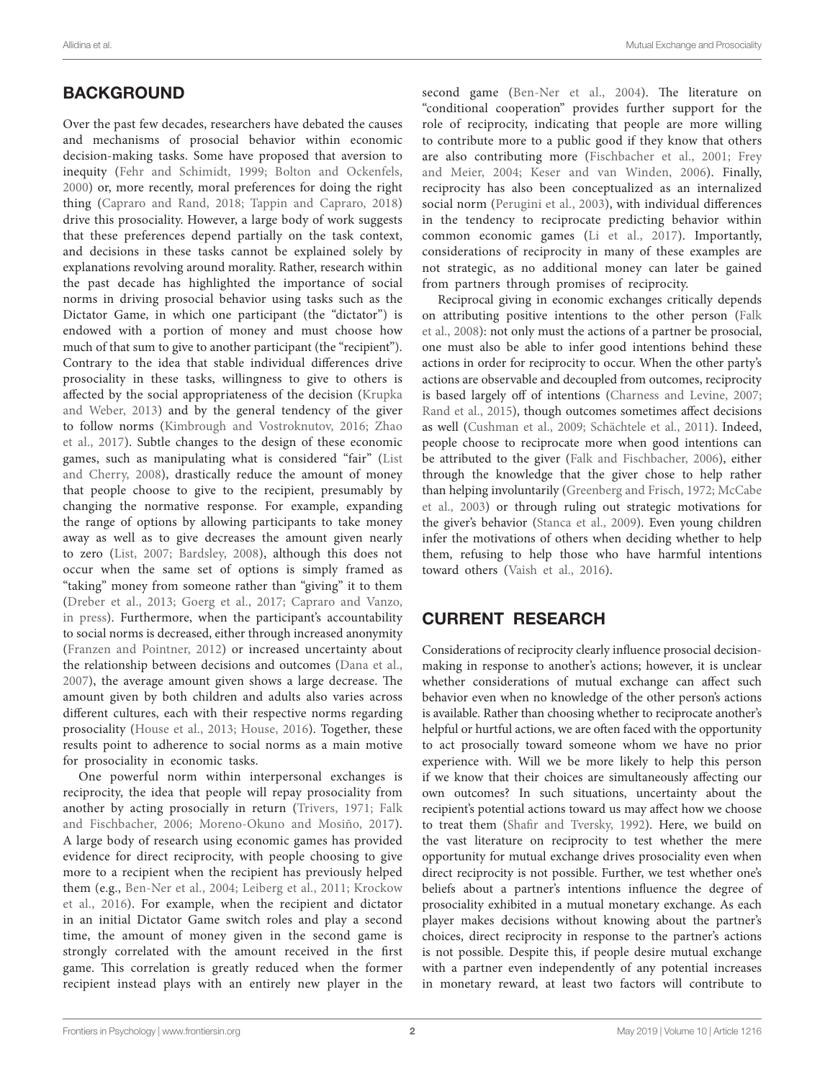# BACKGROUND

Over the past few decades, researchers have debated the causes and mechanisms of prosocial behavior within economic decision-making tasks. Some have proposed that aversion to inequity [\(Fehr and Schimidt, 1999;](#page-8-9) [Bolton and Ockenfels,](#page-7-2)  [2000\)](#page-7-2) or, more recently, moral preferences for doing the right thing ([Capraro and Rand, 2018](#page-7-1); [Tappin and Capraro, 2018](#page-8-5)) drive this prosociality. However, a large body of work suggests that these preferences depend partially on the task context, and decisions in these tasks cannot be explained solely by explanations revolving around morality. Rather, research within the past decade has highlighted the importance of social norms in driving prosocial behavior using tasks such as the Dictator Game, in which one participant (the "dictator") is endowed with a portion of money and must choose how much of that sum to give to another participant (the "recipient"). Contrary to the idea that stable individual differences drive prosociality in these tasks, willingness to give to others is affected by the social appropriateness of the decision ([Krupka](#page-8-6)  [and Weber, 2013\)](#page-8-6) and by the general tendency of the giver to follow norms ([Kimbrough and Vostroknutov, 2016;](#page-8-7) [Zhao](#page-8-8)  [et al., 2017\)](#page-8-8). Subtle changes to the design of these economic games, such as manipulating what is considered "fair" [\(List](#page-8-10)  [and Cherry, 2008](#page-8-10)), drastically reduce the amount of money that people choose to give to the recipient, presumably by changing the normative response. For example, expanding the range of options by allowing participants to take money away as well as to give decreases the amount given nearly to zero [\(List, 2007](#page-8-11); [Bardsley, 2008\)](#page-7-3), although this does not occur when the same set of options is simply framed as "taking" money from someone rather than "giving" it to them ([Dreber et al., 2013;](#page-7-4) [Goerg et al., 2017](#page-8-12); [Capraro and Vanzo,](#page-7-5)  [in press](#page-7-5)). Furthermore, when the participant's accountability to social norms is decreased, either through increased anonymity ([Franzen and Pointner, 2012](#page-8-13)) or increased uncertainty about the relationship between decisions and outcomes [\(Dana et al.,](#page-7-6)  [2007\)](#page-7-6), the average amount given shows a large decrease. The amount given by both children and adults also varies across different cultures, each with their respective norms regarding prosociality [\(House et al., 2013;](#page-8-3) [House, 2016\)](#page-8-14). Together, these results point to adherence to social norms as a main motive for prosociality in economic tasks.

One powerful norm within interpersonal exchanges is reciprocity, the idea that people will repay prosociality from another by acting prosocially in return ([Trivers, 1971](#page-8-15); [Falk](#page-8-16)  [and Fischbacher, 2006;](#page-8-16) [Moreno-Okuno and Mosiño, 2017\)](#page-8-17). A large body of research using economic games has provided evidence for direct reciprocity, with people choosing to give more to a recipient when the recipient has previously helped them (e.g., [Ben-Ner et al., 2004;](#page-7-7) [Leiberg et al., 2011](#page-8-18); [Krockow](#page-8-19)  [et al., 2016\)](#page-8-19). For example, when the recipient and dictator in an initial Dictator Game switch roles and play a second time, the amount of money given in the second game is strongly correlated with the amount received in the first game. This correlation is greatly reduced when the former recipient instead plays with an entirely new player in the second game [\(Ben-Ner et al., 2004\)](#page-7-7). The literature on "conditional cooperation" provides further support for the role of reciprocity, indicating that people are more willing to contribute more to a public good if they know that others are also contributing more ([Fischbacher et al., 2001](#page-8-20); [Frey](#page-8-21)  [and Meier, 2004;](#page-8-21) [Keser and van Winden, 2006\)](#page-8-22). Finally, reciprocity has also been conceptualized as an internalized social norm ([Perugini et al., 2003\)](#page-8-23), with individual differences in the tendency to reciprocate predicting behavior within common economic games ([Li et al., 2017](#page-8-24)). Importantly, considerations of reciprocity in many of these examples are not strategic, as no additional money can later be gained from partners through promises of reciprocity.

Reciprocal giving in economic exchanges critically depends on attributing positive intentions to the other person ([Falk](#page-8-25)  [et al., 2008\)](#page-8-25): not only must the actions of a partner be prosocial, one must also be able to infer good intentions behind these actions in order for reciprocity to occur. When the other party's actions are observable and decoupled from outcomes, reciprocity is based largely off of intentions ([Charness and Levine, 2007;](#page-7-8) [Rand et al., 2015\)](#page-8-26), though outcomes sometimes affect decisions as well ([Cushman et al., 2009;](#page-7-9) [Schächtele et al., 2011\)](#page-8-27). Indeed, people choose to reciprocate more when good intentions can be attributed to the giver ([Falk and Fischbacher, 2006\)](#page-8-16), either through the knowledge that the giver chose to help rather than helping involuntarily ([Greenberg and Frisch, 1972;](#page-8-28) [McCabe](#page-8-29)  [et al., 2003](#page-8-29)) or through ruling out strategic motivations for the giver's behavior ([Stanca et al., 2009](#page-8-30)). Even young children infer the motivations of others when deciding whether to help them, refusing to help those who have harmful intentions toward others ([Vaish et al., 2016\)](#page-8-31).

# CURRENT RESEARCH

Considerations of reciprocity clearly influence prosocial decisionmaking in response to another's actions; however, it is unclear whether considerations of mutual exchange can affect such behavior even when no knowledge of the other person's actions is available. Rather than choosing whether to reciprocate another's helpful or hurtful actions, we are often faced with the opportunity to act prosocially toward someone whom we have no prior experience with. Will we be more likely to help this person if we know that their choices are simultaneously affecting our own outcomes? In such situations, uncertainty about the recipient's potential actions toward us may affect how we choose to treat them [\(Shafir and Tversky, 1992\)](#page-8-32). Here, we build on the vast literature on reciprocity to test whether the mere opportunity for mutual exchange drives prosociality even when direct reciprocity is not possible. Further, we test whether one's beliefs about a partner's intentions influence the degree of prosociality exhibited in a mutual monetary exchange. As each player makes decisions without knowing about the partner's choices, direct reciprocity in response to the partner's actions is not possible. Despite this, if people desire mutual exchange with a partner even independently of any potential increases in monetary reward, at least two factors will contribute to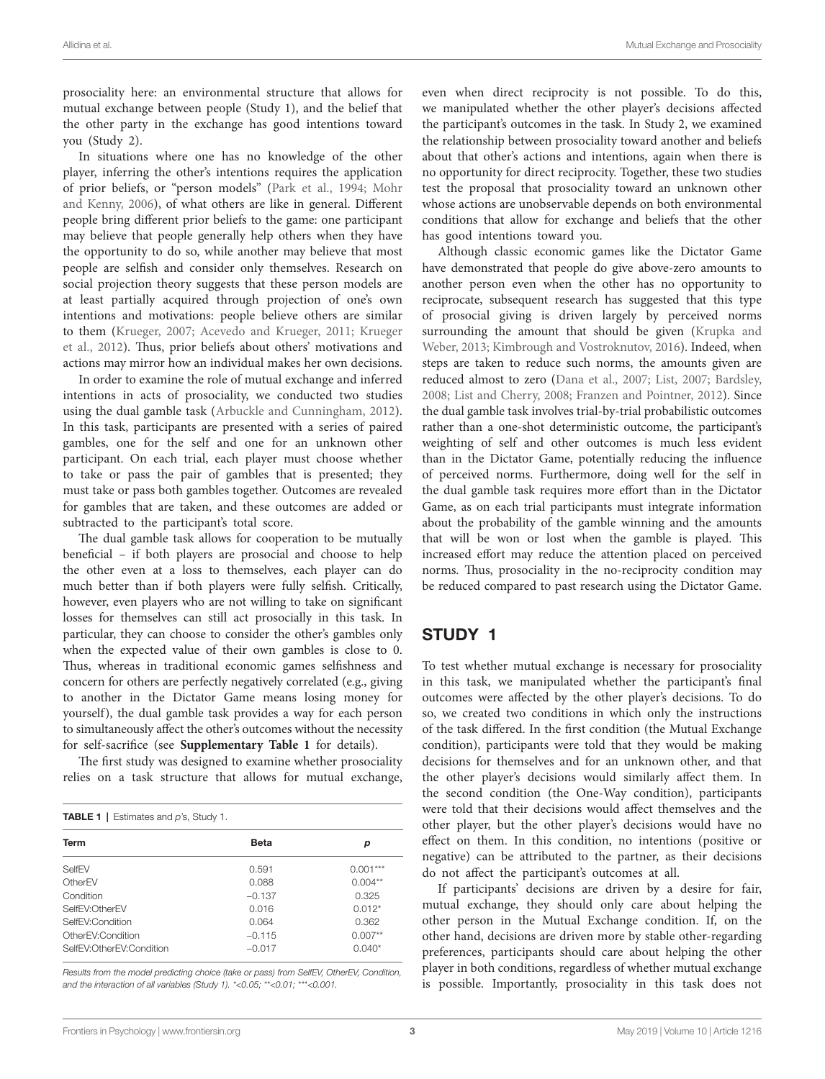prosociality here: an environmental structure that allows for mutual exchange between people (Study 1), and the belief that the other party in the exchange has good intentions toward you (Study 2).

In situations where one has no knowledge of the other player, inferring the other's intentions requires the application of prior beliefs, or "person models" [\(Park et al., 1994;](#page-8-33) [Mohr](#page-8-34)  [and Kenny, 2006\)](#page-8-34), of what others are like in general. Different people bring different prior beliefs to the game: one participant may believe that people generally help others when they have the opportunity to do so, while another may believe that most people are selfish and consider only themselves. Research on social projection theory suggests that these person models are at least partially acquired through projection of one's own intentions and motivations: people believe others are similar to them ([Krueger, 2007](#page-8-35); [Acevedo and Krueger, 2011;](#page-7-10) [Krueger](#page-8-36)  [et al., 2012\)](#page-8-36). Thus, prior beliefs about others' motivations and actions may mirror how an individual makes her own decisions.

In order to examine the role of mutual exchange and inferred intentions in acts of prosociality, we conducted two studies using the dual gamble task ([Arbuckle and Cunningham, 2012](#page-7-11)). In this task, participants are presented with a series of paired gambles, one for the self and one for an unknown other participant. On each trial, each player must choose whether to take or pass the pair of gambles that is presented; they must take or pass both gambles together. Outcomes are revealed for gambles that are taken, and these outcomes are added or subtracted to the participant's total score.

The dual gamble task allows for cooperation to be mutually beneficial – if both players are prosocial and choose to help the other even at a loss to themselves, each player can do much better than if both players were fully selfish. Critically, however, even players who are not willing to take on significant losses for themselves can still act prosocially in this task. In particular, they can choose to consider the other's gambles only when the expected value of their own gambles is close to 0. Thus, whereas in traditional economic games selfishness and concern for others are perfectly negatively correlated (e.g., giving to another in the Dictator Game means losing money for yourself), the dual gamble task provides a way for each person to simultaneously affect the other's outcomes without the necessity for self-sacrifice (see **[Supplementary Table 1](#page-7-12)** for details).

The first study was designed to examine whether prosociality relies on a task structure that allows for mutual exchange,

<span id="page-2-0"></span>

|   | <b>TABLE 1</b>   Estimates and p's, Study 1. |  |
|---|----------------------------------------------|--|
| _ |                                              |  |

| Term                     | <b>Beta</b> | р          |
|--------------------------|-------------|------------|
| SelfFV                   | 0.591       | $0.001***$ |
| OtherEV                  | 0.088       | $0.004**$  |
| Condition                | $-0.137$    | 0.325      |
| SelfFV:OtherFV           | 0.016       | $0.012*$   |
| SelfFV:Condition         | 0.064       | 0.362      |
| OtherEV:Condition        | $-0.115$    | $0.007**$  |
| SelfEV:OtherEV:Condition | $-0.017$    | $0.040*$   |

*Results from the model predicting choice (take or pass) from SelfEV, OtherEV, Condition, and the interaction of all variables (Study 1). \*<0.05; \*\*<0.01; \*\*\*<0.001.*

even when direct reciprocity is not possible. To do this, we manipulated whether the other player's decisions affected the participant's outcomes in the task. In Study 2, we examined the relationship between prosociality toward another and beliefs about that other's actions and intentions, again when there is no opportunity for direct reciprocity. Together, these two studies test the proposal that prosociality toward an unknown other whose actions are unobservable depends on both environmental conditions that allow for exchange and beliefs that the other has good intentions toward you.

Although classic economic games like the Dictator Game have demonstrated that people do give above-zero amounts to another person even when the other has no opportunity to reciprocate, subsequent research has suggested that this type of prosocial giving is driven largely by perceived norms surrounding the amount that should be given (Krupka and [Weber, 2013](#page-8-6); [Kimbrough and Vostroknutov, 2016](#page-8-7)). Indeed, when steps are taken to reduce such norms, the amounts given are reduced almost to zero [\(Dana et al., 2007;](#page-7-6) [List, 2007;](#page-8-11) [Bardsley,](#page-7-3)  [2008;](#page-7-3) [List and Cherry, 2008;](#page-8-10) [Franzen and Pointner, 2012\)](#page-8-13). Since the dual gamble task involves trial-by-trial probabilistic outcomes rather than a one-shot deterministic outcome, the participant's weighting of self and other outcomes is much less evident than in the Dictator Game, potentially reducing the influence of perceived norms. Furthermore, doing well for the self in the dual gamble task requires more effort than in the Dictator Game, as on each trial participants must integrate information about the probability of the gamble winning and the amounts that will be won or lost when the gamble is played. This increased effort may reduce the attention placed on perceived norms. Thus, prosociality in the no-reciprocity condition may be reduced compared to past research using the Dictator Game.

# STUDY 1

To test whether mutual exchange is necessary for prosociality in this task, we manipulated whether the participant's final outcomes were affected by the other player's decisions. To do so, we created two conditions in which only the instructions of the task differed. In the first condition (the Mutual Exchange condition), participants were told that they would be making decisions for themselves and for an unknown other, and that the other player's decisions would similarly affect them. In the second condition (the One-Way condition), participants were told that their decisions would affect themselves and the other player, but the other player's decisions would have no effect on them. In this condition, no intentions (positive or negative) can be attributed to the partner, as their decisions do not affect the participant's outcomes at all.

If participants' decisions are driven by a desire for fair, mutual exchange, they should only care about helping the other person in the Mutual Exchange condition. If, on the other hand, decisions are driven more by stable other-regarding preferences, participants should care about helping the other player in both conditions, regardless of whether mutual exchange is possible. Importantly, prosociality in this task does not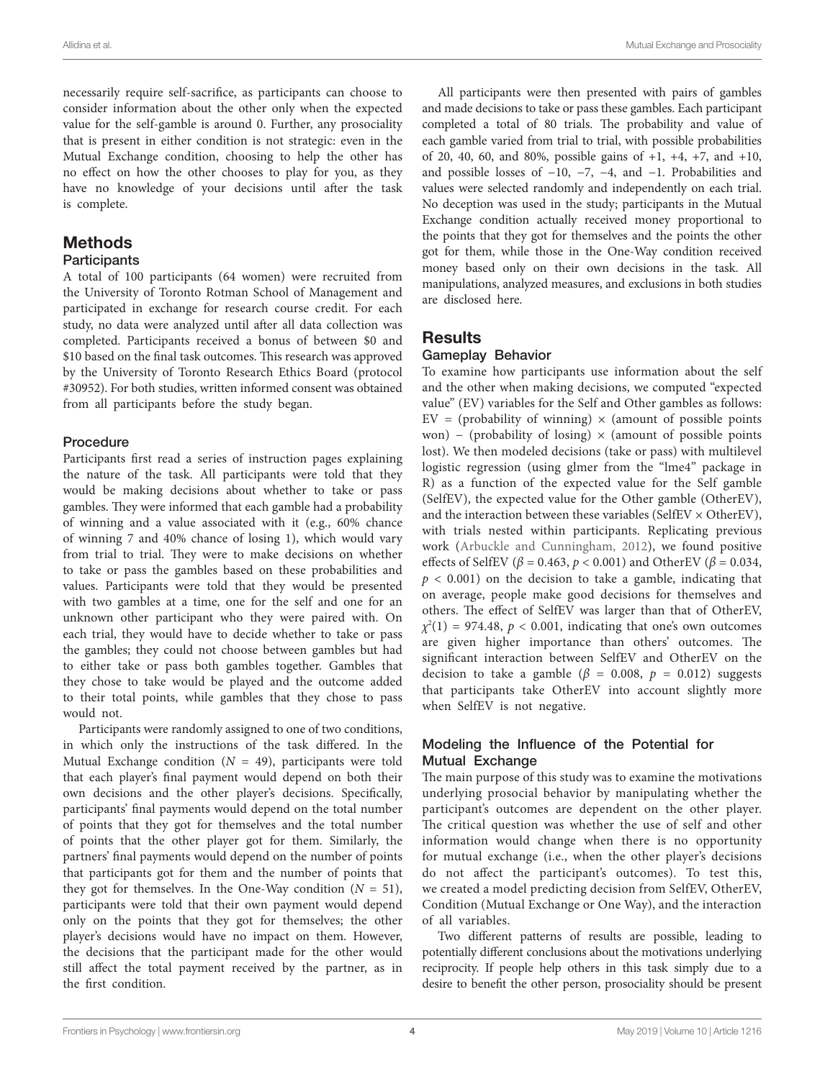necessarily require self-sacrifice, as participants can choose to consider information about the other only when the expected value for the self-gamble is around 0. Further, any prosociality that is present in either condition is not strategic: even in the Mutual Exchange condition, choosing to help the other has no effect on how the other chooses to play for you, as they have no knowledge of your decisions until after the task is complete.

# **Methods**

#### **Participants**

A total of 100 participants (64 women) were recruited from the University of Toronto Rotman School of Management and participated in exchange for research course credit. For each study, no data were analyzed until after all data collection was completed. Participants received a bonus of between \$0 and \$10 based on the final task outcomes. This research was approved by the University of Toronto Research Ethics Board (protocol #30952). For both studies, written informed consent was obtained from all participants before the study began.

#### Procedure

Participants first read a series of instruction pages explaining the nature of the task. All participants were told that they would be making decisions about whether to take or pass gambles. They were informed that each gamble had a probability of winning and a value associated with it (e.g., 60% chance of winning 7 and 40% chance of losing 1), which would vary from trial to trial. They were to make decisions on whether to take or pass the gambles based on these probabilities and values. Participants were told that they would be presented with two gambles at a time, one for the self and one for an unknown other participant who they were paired with. On each trial, they would have to decide whether to take or pass the gambles; they could not choose between gambles but had to either take or pass both gambles together. Gambles that they chose to take would be played and the outcome added to their total points, while gambles that they chose to pass would not.

Participants were randomly assigned to one of two conditions, in which only the instructions of the task differed. In the Mutual Exchange condition  $(N = 49)$ , participants were told that each player's final payment would depend on both their own decisions and the other player's decisions. Specifically, participants' final payments would depend on the total number of points that they got for themselves and the total number of points that the other player got for them. Similarly, the partners' final payments would depend on the number of points that participants got for them and the number of points that they got for themselves. In the One-Way condition  $(N = 51)$ , participants were told that their own payment would depend only on the points that they got for themselves; the other player's decisions would have no impact on them. However, the decisions that the participant made for the other would still affect the total payment received by the partner, as in the first condition.

All participants were then presented with pairs of gambles and made decisions to take or pass these gambles. Each participant completed a total of 80 trials. The probability and value of each gamble varied from trial to trial, with possible probabilities of 20, 40, 60, and 80%, possible gains of +1, +4, +7, and +10, and possible losses of −10, −7, −4, and −1. Probabilities and values were selected randomly and independently on each trial. No deception was used in the study; participants in the Mutual Exchange condition actually received money proportional to the points that they got for themselves and the points the other got for them, while those in the One-Way condition received money based only on their own decisions in the task. All manipulations, analyzed measures, and exclusions in both studies are disclosed here.

# **Results**

#### Gameplay Behavior

To examine how participants use information about the self and the other when making decisions, we computed "expected value" (EV) variables for the Self and Other gambles as follows:  $EV = (probability of winning) \times (amount of possible points)$ won) – (probability of losing)  $\times$  (amount of possible points lost). We then modeled decisions (take or pass) with multilevel logistic regression (using glmer from the "lme4" package in R) as a function of the expected value for the Self gamble (SelfEV), the expected value for the Other gamble (OtherEV), and the interaction between these variables (SelfEV  $\times$  OtherEV), with trials nested within participants. Replicating previous work [\(Arbuckle and Cunningham, 2012](#page-7-11)), we found positive effects of SelfEV ( $β = 0.463$ ,  $p < 0.001$ ) and OtherEV ( $β = 0.034$ ,  $p < 0.001$ ) on the decision to take a gamble, indicating that on average, people make good decisions for themselves and others. The effect of SelfEV was larger than that of OtherEV,  $\chi^2(1) = 974.48$ ,  $p < 0.001$ , indicating that one's own outcomes are given higher importance than others' outcomes. The significant interaction between SelfEV and OtherEV on the decision to take a gamble ( $\beta$  = 0.008,  $p$  = 0.012) suggests that participants take OtherEV into account slightly more when SelfEV is not negative.

#### Modeling the Influence of the Potential for Mutual Exchange

The main purpose of this study was to examine the motivations underlying prosocial behavior by manipulating whether the participant's outcomes are dependent on the other player. The critical question was whether the use of self and other information would change when there is no opportunity for mutual exchange (i.e., when the other player's decisions do not affect the participant's outcomes). To test this, we created a model predicting decision from SelfEV, OtherEV, Condition (Mutual Exchange or One Way), and the interaction of all variables.

Two different patterns of results are possible, leading to potentially different conclusions about the motivations underlying reciprocity. If people help others in this task simply due to a desire to benefit the other person, prosociality should be present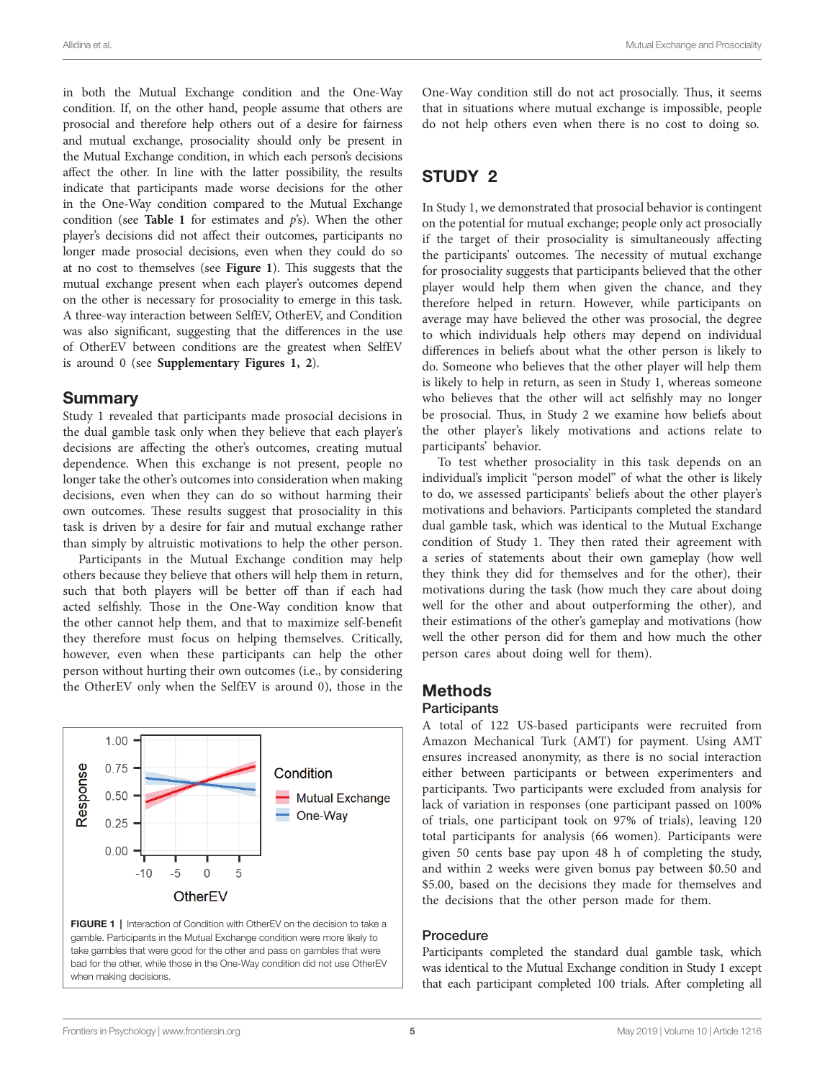in both the Mutual Exchange condition and the One-Way condition. If, on the other hand, people assume that others are prosocial and therefore help others out of a desire for fairness and mutual exchange, prosociality should only be present in the Mutual Exchange condition, in which each person's decisions affect the other. In line with the latter possibility, the results indicate that participants made worse decisions for the other in the One-Way condition compared to the Mutual Exchange condition (see **[Table 1](#page-2-0)** for estimates and *p*'s). When the other player's decisions did not affect their outcomes, participants no longer made prosocial decisions, even when they could do so at no cost to themselves (see **[Figure 1](#page-4-0)**). This suggests that the mutual exchange present when each player's outcomes depend on the other is necessary for prosociality to emerge in this task. A three-way interaction between SelfEV, OtherEV, and Condition was also significant, suggesting that the differences in the use of OtherEV between conditions are the greatest when SelfEV is around 0 (see **[Supplementary Figures 1](#page-7-12), [2](#page-7-12)**).

#### Summary

Study 1 revealed that participants made prosocial decisions in the dual gamble task only when they believe that each player's decisions are affecting the other's outcomes, creating mutual dependence. When this exchange is not present, people no longer take the other's outcomes into consideration when making decisions, even when they can do so without harming their own outcomes. These results suggest that prosociality in this task is driven by a desire for fair and mutual exchange rather than simply by altruistic motivations to help the other person.

Participants in the Mutual Exchange condition may help others because they believe that others will help them in return, such that both players will be better off than if each had acted selfishly. Those in the One-Way condition know that the other cannot help them, and that to maximize self-benefit they therefore must focus on helping themselves. Critically, however, even when these participants can help the other person without hurting their own outcomes (i.e., by considering the OtherEV only when the SelfEV is around 0), those in the

<span id="page-4-0"></span>

One-Way condition still do not act prosocially. Thus, it seems that in situations where mutual exchange is impossible, people do not help others even when there is no cost to doing so.

# STUDY 2

In Study 1, we demonstrated that prosocial behavior is contingent on the potential for mutual exchange; people only act prosocially if the target of their prosociality is simultaneously affecting the participants' outcomes. The necessity of mutual exchange for prosociality suggests that participants believed that the other player would help them when given the chance, and they therefore helped in return. However, while participants on average may have believed the other was prosocial, the degree to which individuals help others may depend on individual differences in beliefs about what the other person is likely to do. Someone who believes that the other player will help them is likely to help in return, as seen in Study 1, whereas someone who believes that the other will act selfishly may no longer be prosocial. Thus, in Study 2 we examine how beliefs about the other player's likely motivations and actions relate to participants' behavior.

To test whether prosociality in this task depends on an individual's implicit "person model" of what the other is likely to do, we assessed participants' beliefs about the other player's motivations and behaviors. Participants completed the standard dual gamble task, which was identical to the Mutual Exchange condition of Study 1. They then rated their agreement with a series of statements about their own gameplay (how well they think they did for themselves and for the other), their motivations during the task (how much they care about doing well for the other and about outperforming the other), and their estimations of the other's gameplay and motivations (how well the other person did for them and how much the other person cares about doing well for them).

#### **Methods**

#### **Participants**

A total of 122 US-based participants were recruited from Amazon Mechanical Turk (AMT) for payment. Using AMT ensures increased anonymity, as there is no social interaction either between participants or between experimenters and participants. Two participants were excluded from analysis for lack of variation in responses (one participant passed on 100% of trials, one participant took on 97% of trials), leaving 120 total participants for analysis (66 women). Participants were given 50 cents base pay upon 48 h of completing the study, and within 2 weeks were given bonus pay between \$0.50 and \$5.00, based on the decisions they made for themselves and the decisions that the other person made for them.

#### Procedure

Participants completed the standard dual gamble task, which was identical to the Mutual Exchange condition in Study 1 except that each participant completed 100 trials. After completing all

when making decisions.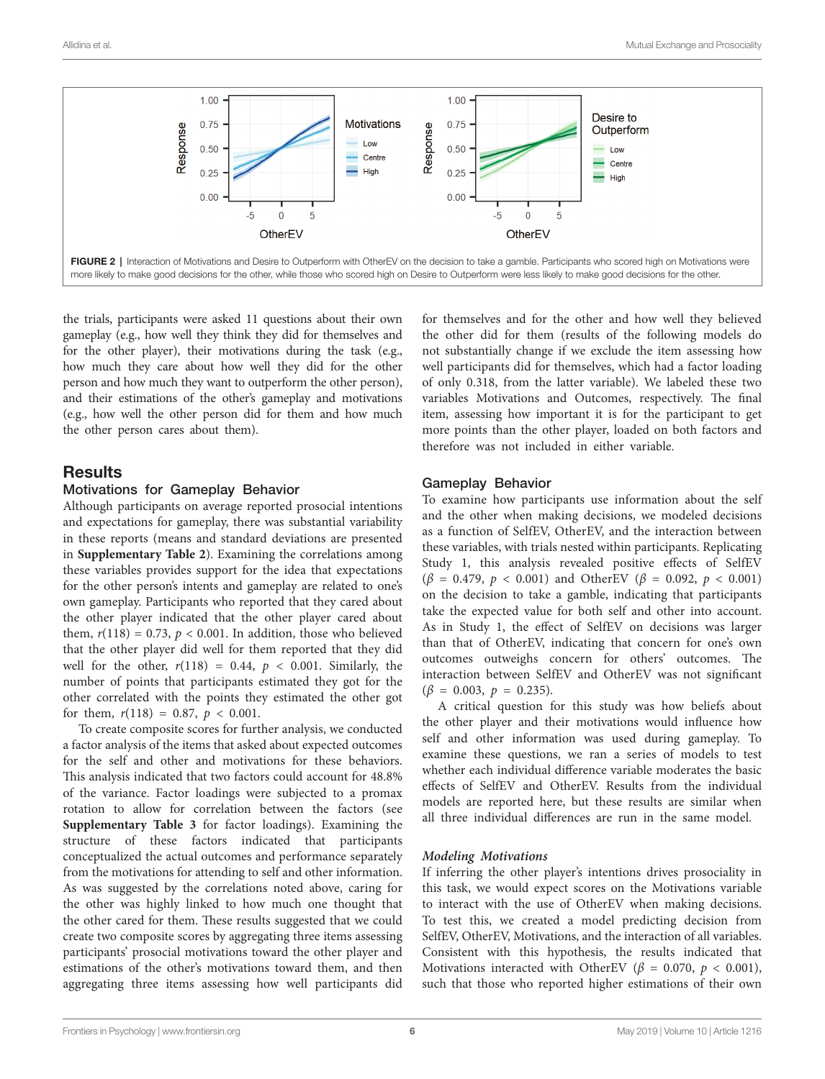<span id="page-5-0"></span>

the trials, participants were asked 11 questions about their own gameplay (e.g., how well they think they did for themselves and for the other player), their motivations during the task (e.g., how much they care about how well they did for the other person and how much they want to outperform the other person), and their estimations of the other's gameplay and motivations (e.g., how well the other person did for them and how much the other person cares about them).

# **Results**

#### Motivations for Gameplay Behavior

Although participants on average reported prosocial intentions and expectations for gameplay, there was substantial variability in these reports (means and standard deviations are presented in **[Supplementary Table 2](#page-7-12)**). Examining the correlations among these variables provides support for the idea that expectations for the other person's intents and gameplay are related to one's own gameplay. Participants who reported that they cared about the other player indicated that the other player cared about them,  $r(118) = 0.73$ ,  $p < 0.001$ . In addition, those who believed that the other player did well for them reported that they did well for the other,  $r(118) = 0.44$ ,  $p < 0.001$ . Similarly, the number of points that participants estimated they got for the other correlated with the points they estimated the other got for them,  $r(118) = 0.87$ ,  $p < 0.001$ .

To create composite scores for further analysis, we conducted a factor analysis of the items that asked about expected outcomes for the self and other and motivations for these behaviors. This analysis indicated that two factors could account for 48.8% of the variance. Factor loadings were subjected to a promax rotation to allow for correlation between the factors (see **[Supplementary Table 3](#page-7-12)** for factor loadings). Examining the structure of these factors indicated that participants conceptualized the actual outcomes and performance separately from the motivations for attending to self and other information. As was suggested by the correlations noted above, caring for the other was highly linked to how much one thought that the other cared for them. These results suggested that we could create two composite scores by aggregating three items assessing participants' prosocial motivations toward the other player and estimations of the other's motivations toward them, and then aggregating three items assessing how well participants did for themselves and for the other and how well they believed the other did for them (results of the following models do not substantially change if we exclude the item assessing how well participants did for themselves, which had a factor loading of only 0.318, from the latter variable). We labeled these two variables Motivations and Outcomes, respectively. The final item, assessing how important it is for the participant to get more points than the other player, loaded on both factors and therefore was not included in either variable.

#### Gameplay Behavior

To examine how participants use information about the self and the other when making decisions, we modeled decisions as a function of SelfEV, OtherEV, and the interaction between these variables, with trials nested within participants. Replicating Study 1, this analysis revealed positive effects of SelfEV  $(\beta = 0.479, p < 0.001)$  and OtherEV ( $\beta = 0.092, p < 0.001$ ) on the decision to take a gamble, indicating that participants take the expected value for both self and other into account. As in Study 1, the effect of SelfEV on decisions was larger than that of OtherEV, indicating that concern for one's own outcomes outweighs concern for others' outcomes. The interaction between SelfEV and OtherEV was not significant  $(\beta = 0.003, p = 0.235).$ 

A critical question for this study was how beliefs about the other player and their motivations would influence how self and other information was used during gameplay. To examine these questions, we ran a series of models to test whether each individual difference variable moderates the basic effects of SelfEV and OtherEV. Results from the individual models are reported here, but these results are similar when all three individual differences are run in the same model.

#### *Modeling Motivations*

If inferring the other player's intentions drives prosociality in this task, we would expect scores on the Motivations variable to interact with the use of OtherEV when making decisions. To test this, we created a model predicting decision from SelfEV, OtherEV, Motivations, and the interaction of all variables. Consistent with this hypothesis, the results indicated that Motivations interacted with OtherEV ( $\beta$  = 0.070,  $p$  < 0.001), such that those who reported higher estimations of their own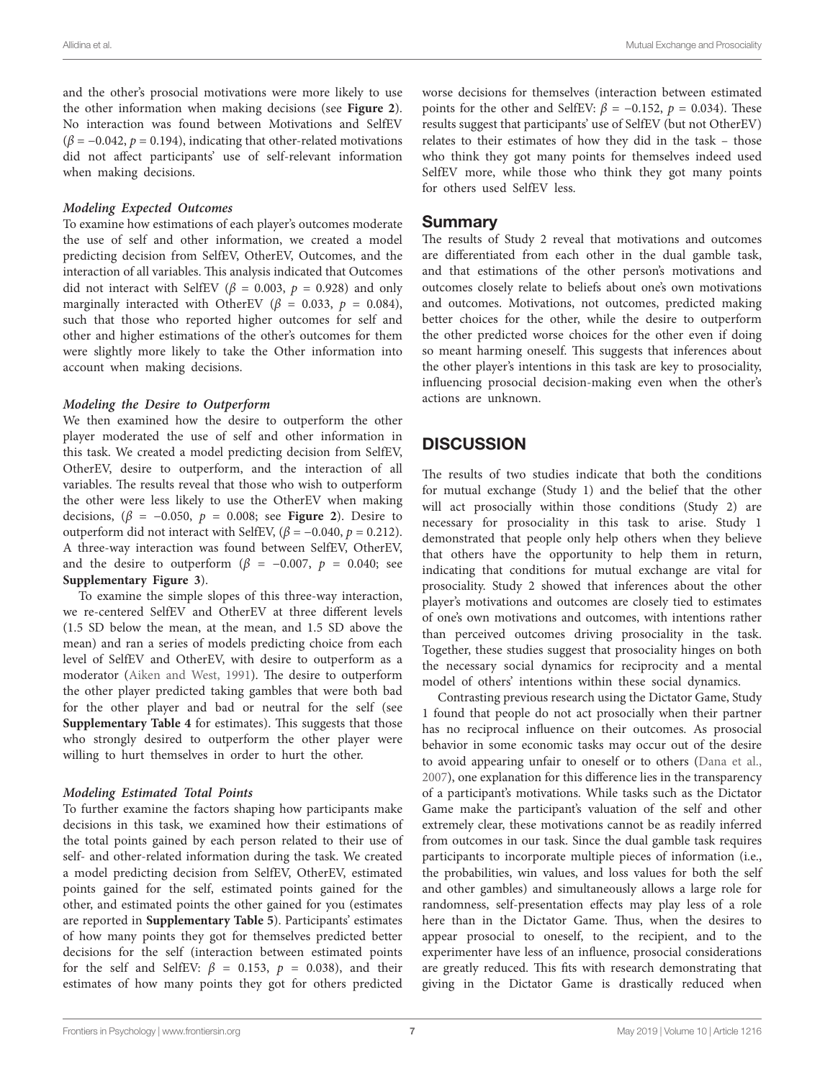and the other's prosocial motivations were more likely to use the other information when making decisions (see **[Figure 2](#page-5-0)**). No interaction was found between Motivations and SelfEV  $(\beta = -0.042, p = 0.194)$ , indicating that other-related motivations did not affect participants' use of self-relevant information when making decisions.

#### *Modeling Expected Outcomes*

To examine how estimations of each player's outcomes moderate the use of self and other information, we created a model predicting decision from SelfEV, OtherEV, Outcomes, and the interaction of all variables. This analysis indicated that Outcomes did not interact with SelfEV ( $\beta$  = 0.003,  $p$  = 0.928) and only marginally interacted with OtherEV ( $\beta$  = 0.033,  $p$  = 0.084), such that those who reported higher outcomes for self and other and higher estimations of the other's outcomes for them were slightly more likely to take the Other information into account when making decisions.

#### *Modeling the Desire to Outperform*

We then examined how the desire to outperform the other player moderated the use of self and other information in this task. We created a model predicting decision from SelfEV, OtherEV, desire to outperform, and the interaction of all variables. The results reveal that those who wish to outperform the other were less likely to use the OtherEV when making decisions,  $(\beta = -0.050, p = 0.008;$  see **[Figure 2](#page-5-0)**). Desire to outperform did not interact with SelfEV,  $(\beta = -0.040, p = 0.212)$ . A three-way interaction was found between SelfEV, OtherEV, and the desire to outperform ( $\beta$  = -0.007,  $p$  = 0.040; see **[Supplementary Figure 3](#page-7-12)**).

To examine the simple slopes of this three-way interaction, we re-centered SelfEV and OtherEV at three different levels (1.5 SD below the mean, at the mean, and 1.5 SD above the mean) and ran a series of models predicting choice from each level of SelfEV and OtherEV, with desire to outperform as a moderator ([Aiken and West, 1991](#page-7-13)). The desire to outperform the other player predicted taking gambles that were both bad for the other player and bad or neutral for the self (see **[Supplementary Table 4](#page-7-12)** for estimates). This suggests that those who strongly desired to outperform the other player were willing to hurt themselves in order to hurt the other.

#### *Modeling Estimated Total Points*

To further examine the factors shaping how participants make decisions in this task, we examined how their estimations of the total points gained by each person related to their use of self- and other-related information during the task. We created a model predicting decision from SelfEV, OtherEV, estimated points gained for the self, estimated points gained for the other, and estimated points the other gained for you (estimates are reported in **[Supplementary Table 5](#page-7-12)**). Participants' estimates of how many points they got for themselves predicted better decisions for the self (interaction between estimated points for the self and SelfEV:  $\beta$  = 0.153,  $p$  = 0.038), and their estimates of how many points they got for others predicted

worse decisions for themselves (interaction between estimated points for the other and SelfEV:  $\beta$  = -0.152,  $p$  = 0.034). These results suggest that participants' use of SelfEV (but not OtherEV) relates to their estimates of how they did in the task – those who think they got many points for themselves indeed used SelfEV more, while those who think they got many points for others used SelfEV less.

#### Summary

The results of Study 2 reveal that motivations and outcomes are differentiated from each other in the dual gamble task, and that estimations of the other person's motivations and outcomes closely relate to beliefs about one's own motivations and outcomes. Motivations, not outcomes, predicted making better choices for the other, while the desire to outperform the other predicted worse choices for the other even if doing so meant harming oneself. This suggests that inferences about the other player's intentions in this task are key to prosociality, influencing prosocial decision-making even when the other's actions are unknown.

## **DISCUSSION**

The results of two studies indicate that both the conditions for mutual exchange (Study 1) and the belief that the other will act prosocially within those conditions (Study 2) are necessary for prosociality in this task to arise. Study 1 demonstrated that people only help others when they believe that others have the opportunity to help them in return, indicating that conditions for mutual exchange are vital for prosociality. Study 2 showed that inferences about the other player's motivations and outcomes are closely tied to estimates of one's own motivations and outcomes, with intentions rather than perceived outcomes driving prosociality in the task. Together, these studies suggest that prosociality hinges on both the necessary social dynamics for reciprocity and a mental model of others' intentions within these social dynamics.

Contrasting previous research using the Dictator Game, Study 1 found that people do not act prosocially when their partner has no reciprocal influence on their outcomes. As prosocial behavior in some economic tasks may occur out of the desire to avoid appearing unfair to oneself or to others [\(Dana et al.,](#page-7-6)  [2007\)](#page-7-6), one explanation for this difference lies in the transparency of a participant's motivations. While tasks such as the Dictator Game make the participant's valuation of the self and other extremely clear, these motivations cannot be as readily inferred from outcomes in our task. Since the dual gamble task requires participants to incorporate multiple pieces of information (i.e., the probabilities, win values, and loss values for both the self and other gambles) and simultaneously allows a large role for randomness, self-presentation effects may play less of a role here than in the Dictator Game. Thus, when the desires to appear prosocial to oneself, to the recipient, and to the experimenter have less of an influence, prosocial considerations are greatly reduced. This fits with research demonstrating that giving in the Dictator Game is drastically reduced when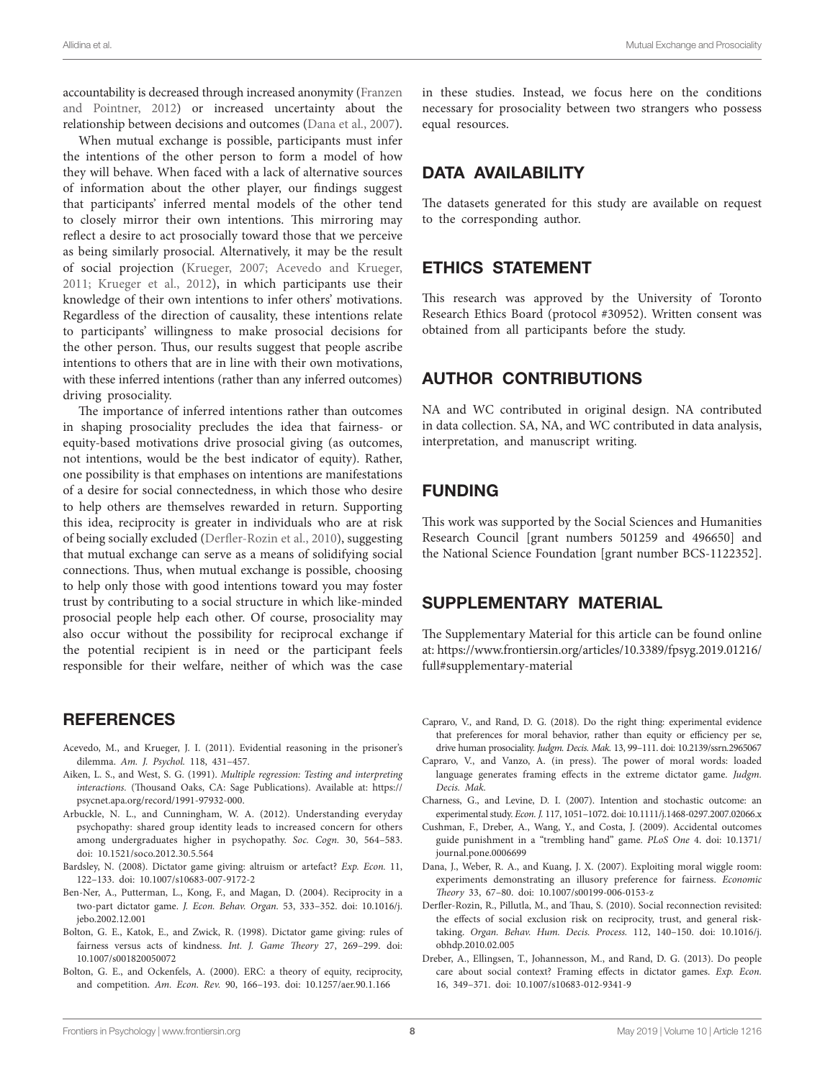accountability is decreased through increased anonymity [\(Franzen](#page-8-13)  [and Pointner, 2012\)](#page-8-13) or increased uncertainty about the relationship between decisions and outcomes ([Dana et al., 2007](#page-7-6)).

When mutual exchange is possible, participants must infer the intentions of the other person to form a model of how they will behave. When faced with a lack of alternative sources of information about the other player, our findings suggest that participants' inferred mental models of the other tend to closely mirror their own intentions. This mirroring may reflect a desire to act prosocially toward those that we perceive as being similarly prosocial. Alternatively, it may be the result of social projection ([Krueger, 2007](#page-8-35); [Acevedo and Krueger,](#page-7-10)  [2011;](#page-7-10) [Krueger et al., 2012\)](#page-8-36), in which participants use their knowledge of their own intentions to infer others' motivations. Regardless of the direction of causality, these intentions relate to participants' willingness to make prosocial decisions for the other person. Thus, our results suggest that people ascribe intentions to others that are in line with their own motivations, with these inferred intentions (rather than any inferred outcomes) driving prosociality.

The importance of inferred intentions rather than outcomes in shaping prosociality precludes the idea that fairness- or equity-based motivations drive prosocial giving (as outcomes, not intentions, would be the best indicator of equity). Rather, one possibility is that emphases on intentions are manifestations of a desire for social connectedness, in which those who desire to help others are themselves rewarded in return. Supporting this idea, reciprocity is greater in individuals who are at risk of being socially excluded ([Derfler-Rozin et al., 2010](#page-7-14)), suggesting that mutual exchange can serve as a means of solidifying social connections. Thus, when mutual exchange is possible, choosing to help only those with good intentions toward you may foster trust by contributing to a social structure in which like-minded prosocial people help each other. Of course, prosociality may also occur without the possibility for reciprocal exchange if the potential recipient is in need or the participant feels responsible for their welfare, neither of which was the case

## **REFERENCES**

- <span id="page-7-10"></span>Acevedo, M., and Krueger, J. I. (2011). Evidential reasoning in the prisoner's dilemma. *Am. J. Psychol.* 118, 431–457.
- <span id="page-7-13"></span>Aiken, L. S., and West, S. G. (1991). *Multiple regression: Testing and interpreting interactions.* (Thousand Oaks, CA: Sage Publications). Available at: [https://](https://psycnet.apa.org/record/1991-97932-000) [psycnet.apa.org/record/1991-97932-000.](https://psycnet.apa.org/record/1991-97932-000)
- <span id="page-7-11"></span>Arbuckle, N. L., and Cunningham, W. A. (2012). Understanding everyday psychopathy: shared group identity leads to increased concern for others among undergraduates higher in psychopathy. *Soc. Cogn.* 30, 564–583. doi: [10.1521/soco.2012.30.5.564](https://doi.org/10.1521/soco.2012.30.5.564)
- <span id="page-7-3"></span>Bardsley, N. (2008). Dictator game giving: altruism or artefact? *Exp. Econ.* 11, 122–133. doi: [10.1007/s10683-007-9172-2](https://doi.org/10.1007/s10683-007-9172-2)
- <span id="page-7-7"></span>Ben-Ner, A., Putterman, L., Kong, F., and Magan, D. (2004). Reciprocity in a two-part dictator game. *J. Econ. Behav. Organ.* 53, 333–352. doi: [10.1016/j.](https://doi.org/10.1016/j.jebo.2002.12.001) [jebo.2002.12.001](https://doi.org/10.1016/j.jebo.2002.12.001)
- <span id="page-7-0"></span>Bolton, G. E., Katok, E., and Zwick, R. (1998). Dictator game giving: rules of fairness versus acts of kindness. *Int. J. Game Theory* 27, 269–299. doi: [10.1007/s001820050072](https://doi.org/10.1007/s001820050072)
- <span id="page-7-2"></span>Bolton, G. E., and Ockenfels, A. (2000). ERC: a theory of equity, reciprocity, and competition. *Am. Econ. Rev.* 90, 166–193. doi: [10.1257/aer.90.1.166](https://doi.org/10.1257/aer.90.1.166)

in these studies. Instead, we focus here on the conditions necessary for prosociality between two strangers who possess equal resources.

## DATA AVAILABILITY

The datasets generated for this study are available on request to the corresponding author.

## ETHICS STATEMENT

This research was approved by the University of Toronto Research Ethics Board (protocol #30952). Written consent was obtained from all participants before the study.

# AUTHOR CONTRIBUTIONS

NA and WC contributed in original design. NA contributed in data collection. SA, NA, and WC contributed in data analysis, interpretation, and manuscript writing.

# FUNDING

This work was supported by the Social Sciences and Humanities Research Council [grant numbers 501259 and 496650] and the National Science Foundation [grant number BCS-1122352].

## <span id="page-7-12"></span>SUPPLEMENTARY MATERIAL

The Supplementary Material for this article can be found online at: [https://www.frontiersin.org/articles/10.3389/fpsyg.2019.01216/](https://www.frontiersin.org/articles/10.3389/fpsyg.2019.01216/full#supplementary-material) [full#supplementary-material](https://www.frontiersin.org/articles/10.3389/fpsyg.2019.01216/full#supplementary-material)

- <span id="page-7-1"></span>Capraro, V., and Rand, D. G. (2018). Do the right thing: experimental evidence that preferences for moral behavior, rather than equity or efficiency per se, drive human prosociality. *Judgm. Decis. Mak.* 13, 99–111. doi: [10.2139/ssrn.2965067](https://doi.org/10.2139/ssrn.2965067)
- <span id="page-7-5"></span>Capraro, V., and Vanzo, A. (in press). The power of moral words: loaded language generates framing effects in the extreme dictator game. *Judgm. Decis. Mak.*
- <span id="page-7-8"></span>Charness, G., and Levine, D. I. (2007). Intention and stochastic outcome: an experimental study. *Econ. J.* 117, 1051–1072. doi: [10.1111/j.1468-0297.2007.02066.x](https://doi.org/10.1111/j.1468-0297.2007.02066.x)
- <span id="page-7-9"></span>Cushman, F., Dreber, A., Wang, Y., and Costa, J. (2009). Accidental outcomes guide punishment in a "trembling hand" game. *PLoS One* 4. doi: [10.1371/](https://doi.org/10.1371/journal.pone.0006699) [journal.pone.0006699](https://doi.org/10.1371/journal.pone.0006699)
- <span id="page-7-6"></span>Dana, J., Weber, R. A., and Kuang, J. X. (2007). Exploiting moral wiggle room: experiments demonstrating an illusory preference for fairness. *Economic Theory* 33, 67–80. doi: [10.1007/s00199-006-0153-z](https://doi.org/10.1007/s00199-006-0153-z)
- <span id="page-7-14"></span>Derfler-Rozin, R., Pillutla, M., and Thau, S. (2010). Social reconnection revisited: the effects of social exclusion risk on reciprocity, trust, and general risktaking. *Organ. Behav. Hum. Decis. Process.* 112, 140–150. doi: [10.1016/j.](https://doi.org/10.1016/j.obhdp.2010.02.005) [obhdp.2010.02.005](https://doi.org/10.1016/j.obhdp.2010.02.005)
- <span id="page-7-4"></span>Dreber, A., Ellingsen, T., Johannesson, M., and Rand, D. G. (2013). Do people care about social context? Framing effects in dictator games. *Exp. Econ.* 16, 349–371. doi: [10.1007/s10683-012-9341-9](https://doi.org/10.1007/s10683-012-9341-9)